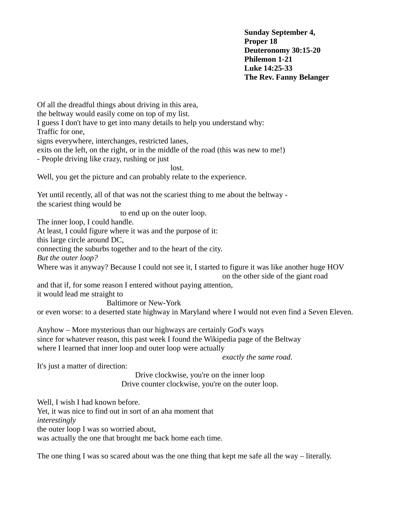**Sunday September 4, Proper 18 Deuteronomy 30:15-20 Philemon 1-21 Luke 14:25-33 The Rev. Fanny Belanger**

Of all the dreadful things about driving in this area, the beltway would easily come on top of my list. I guess I don't have to get into many details to help you understand why: Traffic for one, signs everywhere, interchanges, restricted lanes, exits on the left, on the right, or in the middle of the road (this was new to me!) - People driving like crazy, rushing or just lost. Well, you get the picture and can probably relate to the experience. Yet until recently, all of that was not the scariest thing to me about the beltway the scariest thing would be to end up on the outer loop. The inner loop, I could handle. At least, I could figure where it was and the purpose of it: this large circle around DC, connecting the suburbs together and to the heart of the city. *But the outer loop?* Where was it anyway? Because I could not see it, I started to figure it was like another huge HOV on the other side of the giant road and that if, for some reason I entered without paying attention, it would lead me straight to Baltimore or New-York or even worse: to a deserted state highway in Maryland where I would not even find a Seven Eleven. Anyhow – More mysterious than our highways are certainly God's ways since for whatever reason, this past week I found the Wikipedia page of the Beltway where I learned that inner loop and outer loop were actually *exactly the same road.* It's just a matter of direction: Drive clockwise, you're on the inner loop Drive counter clockwise, you're on the outer loop. Well, I wish I had known before. Yet, it was nice to find out in sort of an aha moment that *interestingly* the outer loop I was so worried about,

was actually the one that brought me back home each time.

The one thing I was so scared about was the one thing that kept me safe all the way – literally.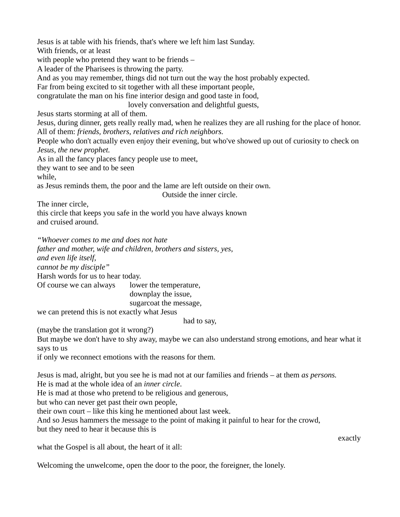Jesus is at table with his friends, that's where we left him last Sunday.

With friends, or at least

with people who pretend they want to be friends –

A leader of the Pharisees is throwing the party.

And as you may remember, things did not turn out the way the host probably expected.

Far from being excited to sit together with all these important people,

congratulate the man on his fine interior design and good taste in food,

lovely conversation and delightful guests,

Jesus starts storming at all of them.

Jesus, during dinner, gets really really mad, when he realizes they are all rushing for the place of honor. All of them: *friends, brothers, relatives and rich neighbors.*

People who don't actually even enjoy their evening, but who've showed up out of curiosity to check on *Jesus, the new prophet.*

As in all the fancy places fancy people use to meet,

they want to see and to be seen

while,

as Jesus reminds them, the poor and the lame are left outside on their own. Outside the inner circle.

The inner circle,

this circle that keeps you safe in the world you have always known and cruised around.

*"Whoever comes to me and does not hate*

*father and mother, wife and children, brothers and sisters, yes, and even life itself,*

*cannot be my disciple"*

Harsh words for us to hear today.

Of course we can always lower the temperature,

downplay the issue,

sugarcoat the message,

we can pretend this is not exactly what Jesus

had to say,

(maybe the translation got it wrong?)

But maybe we don't have to shy away, maybe we can also understand strong emotions, and hear what it says to us

if only we reconnect emotions with the reasons for them.

Jesus is mad, alright, but you see he is mad not at our families and friends – at them *as persons.* He is mad at the whole idea of an *inner circle*. He is mad at those who pretend to be religious and generous, but who can never get past their own people, their own court – like this king he mentioned about last week. And so Jesus hammers the message to the point of making it painful to hear for the crowd, but they need to hear it because this is

what the Gospel is all about, the heart of it all:

Welcoming the unwelcome, open the door to the poor, the foreigner, the lonely.

exactly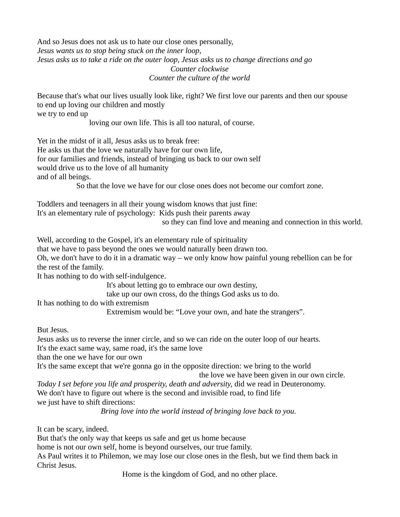And so Jesus does not ask us to hate our close ones personally, *Jesus wants us to stop being stuck on the inner loop, Jesus asks us to take a ride on the outer loop, Jesus asks us to change directions and go Counter clockwise Counter the culture of the world*

Because that's what our lives usually look like, right? We first love our parents and then our spouse to end up loving our children and mostly

we try to end up

loving our own life. This is all too natural, of course.

Yet in the midst of it all, Jesus asks us to break free:

He asks us that the love we naturally have for our own life,

for our families and friends, instead of bringing us back to our own self

would drive us to the love of all humanity

and of all beings.

So that the love we have for our close ones does not become our comfort zone.

Toddlers and teenagers in all their young wisdom knows that just fine: It's an elementary rule of psychology: Kids push their parents away

so they can find love and meaning and connection in this world.

Well, according to the Gospel, it's an elementary rule of spirituality

that we have to pass beyond the ones we would naturally been drawn too.

Oh, we don't have to do it in a dramatic way – we only know how painful young rebellion can be for the rest of the family.

It has nothing to do with self-indulgence.

It's about letting go to embrace our own destiny,

take up our own cross, do the things God asks us to do.

It has nothing to do with extremism

Extremism would be: "Love your own, and hate the strangers".

But Jesus.

Jesus asks us to reverse the inner circle, and so we can ride on the outer loop of our hearts.

It's the exact same way, same road, it's the same love

than the one we have for our own

It's the same except that we're gonna go in the opposite direction: we bring to the world

the love we have been given in our own circle.

Today I set before you life and prosperity, death and adversity, did we read in Deuteronomy. We don't have to figure out where is the second and invisible road, to find life we just have to shift directions:

*Bring love into the world instead of bringing love back to you.* 

It can be scary, indeed.

But that's the only way that keeps us safe and get us home because

home is not our own self, home is beyond ourselves, our true family.

As Paul writes it to Philemon, we may lose our close ones in the flesh, but we find them back in Christ Jesus.

Home is the kingdom of God, and no other place.